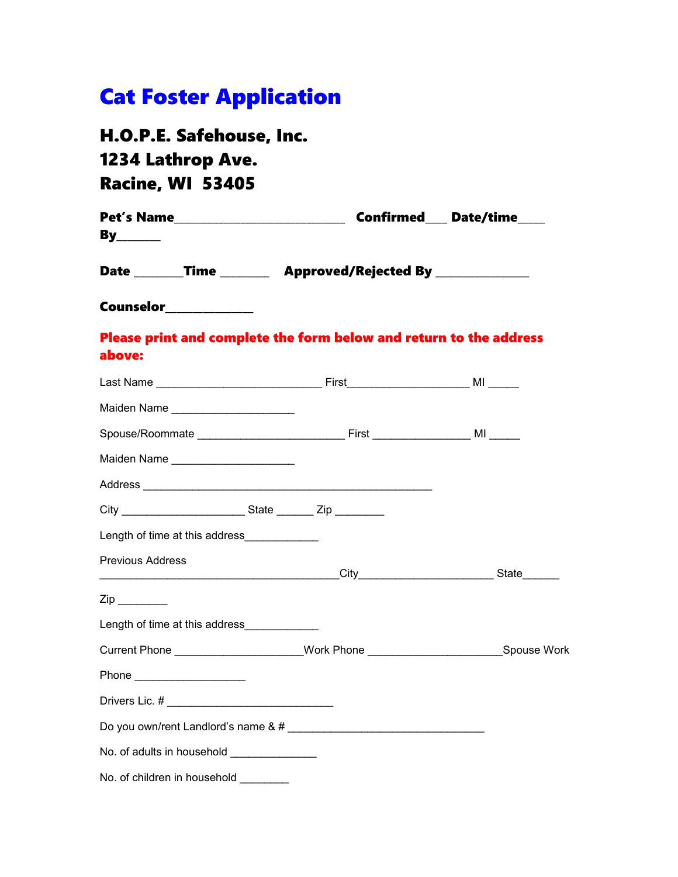# Cat Foster Application

# H.O.P.E. Safehouse, Inc. 1234 Lathrop Ave. Racine, WI 53405

No. of adults in household \_\_\_\_\_\_\_\_\_\_\_\_\_\_\_

No. of children in household \_\_\_\_\_\_\_\_

| <u>By________</u>                                                           |                                                   |                                                                                     |  |  |  |  |  |
|-----------------------------------------------------------------------------|---------------------------------------------------|-------------------------------------------------------------------------------------|--|--|--|--|--|
|                                                                             |                                                   | Date __________Time ___________ Approved/Rejected By ________________               |  |  |  |  |  |
|                                                                             | Counselor_____________                            |                                                                                     |  |  |  |  |  |
| above:                                                                      |                                                   | Please print and complete the form below and return to the address                  |  |  |  |  |  |
|                                                                             |                                                   |                                                                                     |  |  |  |  |  |
|                                                                             | Maiden Name ________________________              |                                                                                     |  |  |  |  |  |
| Spouse/Roommate ____________________________First _______________ MI ______ |                                                   |                                                                                     |  |  |  |  |  |
|                                                                             | Maiden Name _______________________               |                                                                                     |  |  |  |  |  |
|                                                                             |                                                   |                                                                                     |  |  |  |  |  |
|                                                                             |                                                   | City City State Zip                                                                 |  |  |  |  |  |
|                                                                             | Length of time at this address_____________       |                                                                                     |  |  |  |  |  |
| <b>Previous Address</b>                                                     |                                                   |                                                                                     |  |  |  |  |  |
| Zip _________                                                               |                                                   |                                                                                     |  |  |  |  |  |
|                                                                             | Length of time at this address_____________       |                                                                                     |  |  |  |  |  |
|                                                                             |                                                   | Current Phone _____________________Work Phone __________________________Spouse Work |  |  |  |  |  |
|                                                                             | Phone _____________________                       |                                                                                     |  |  |  |  |  |
|                                                                             | Drivers Lic. # __________________________________ |                                                                                     |  |  |  |  |  |
|                                                                             |                                                   |                                                                                     |  |  |  |  |  |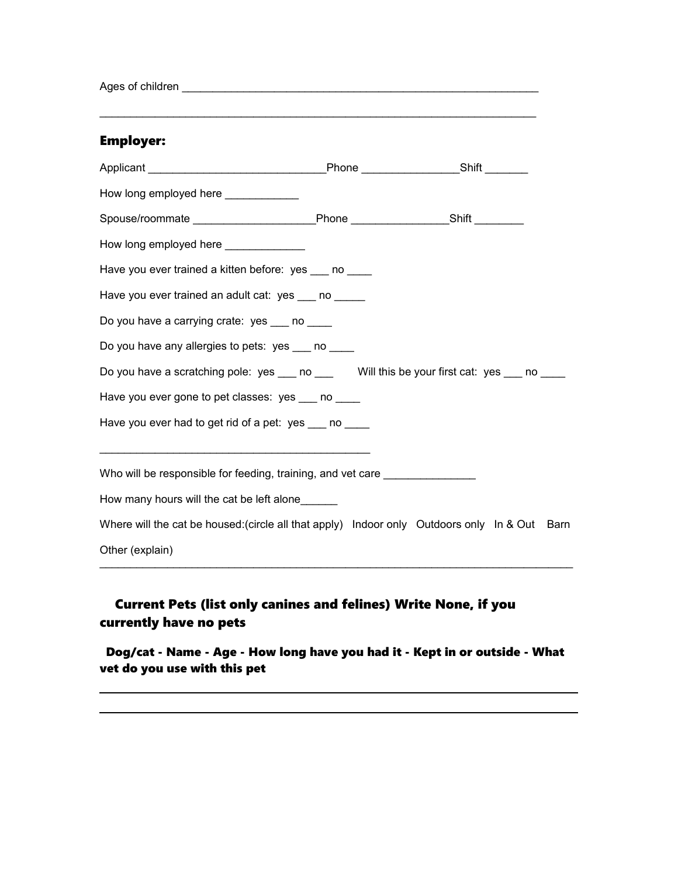Ages of children \_\_\_\_\_\_\_\_\_\_\_\_\_\_\_\_\_\_\_\_\_\_\_\_\_\_\_\_\_\_\_\_\_\_\_\_\_\_\_\_\_\_\_\_\_\_\_\_\_\_\_\_\_\_\_\_\_\_

#### Employer:

| How long employed here _____________                                                          |  |  |  |  |  |  |  |  |  |
|-----------------------------------------------------------------------------------------------|--|--|--|--|--|--|--|--|--|
| Spouse/roommate _____________________________Phone ____________________Shift __________       |  |  |  |  |  |  |  |  |  |
| How long employed here ______________                                                         |  |  |  |  |  |  |  |  |  |
| Have you ever trained a kitten before: yes ___ no ____                                        |  |  |  |  |  |  |  |  |  |
| Have you ever trained an adult cat: yes ___ no _____                                          |  |  |  |  |  |  |  |  |  |
| Do you have a carrying crate: yes ___ no ____                                                 |  |  |  |  |  |  |  |  |  |
| Do you have any allergies to pets: yes ___ no ____                                            |  |  |  |  |  |  |  |  |  |
| Do you have a scratching pole: yes ___ no ___ Will this be your first cat: yes ___ no ___     |  |  |  |  |  |  |  |  |  |
| Have you ever gone to pet classes: yes no                                                     |  |  |  |  |  |  |  |  |  |
| Have you ever had to get rid of a pet: yes ___ no ____                                        |  |  |  |  |  |  |  |  |  |
|                                                                                               |  |  |  |  |  |  |  |  |  |
| Who will be responsible for feeding, training, and vet care ____________________              |  |  |  |  |  |  |  |  |  |
| How many hours will the cat be left alone                                                     |  |  |  |  |  |  |  |  |  |
| Where will the cat be housed: (circle all that apply) Indoor only Outdoors only In & Out Barn |  |  |  |  |  |  |  |  |  |
| Other (explain)                                                                               |  |  |  |  |  |  |  |  |  |

\_\_\_\_\_\_\_\_\_\_\_\_\_\_\_\_\_\_\_\_\_\_\_\_\_\_\_\_\_\_\_\_\_\_\_\_\_\_\_\_\_\_\_\_\_\_\_\_\_\_\_\_\_\_\_\_\_\_\_\_\_\_\_\_\_\_\_\_\_\_\_

### Current Pets (list only canines and felines) Write None, if you currently have no pets

 Dog/cat - Name - Age - How long have you had it - Kept in or outside - What vet do you use with this pet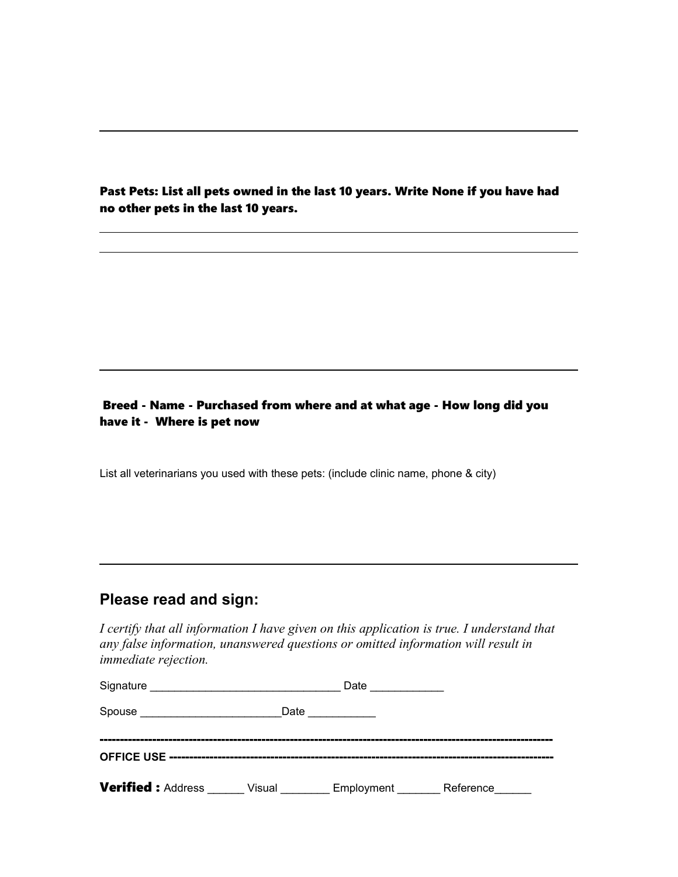Past Pets: List all pets owned in the last 10 years. Write None if you have had no other pets in the last 10 years.

#### Breed - Name - Purchased from where and at what age - How long did you have it - Where is pet now

List all veterinarians you used with these pets: (include clinic name, phone & city)

## **Please read and sign:**

*I certify that all information I have given on this application is true. I understand that any false information, unanswered questions or omitted information will result in immediate rejection.*

| Signature                |        | Date       |           |  |  |
|--------------------------|--------|------------|-----------|--|--|
| Spouse                   | Date   |            |           |  |  |
|                          |        |            |           |  |  |
|                          |        |            |           |  |  |
| <b>Verified: Address</b> | Visual | Employment | Reference |  |  |